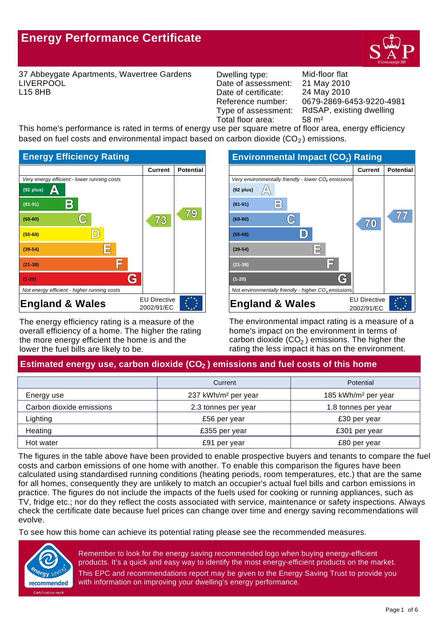# **Energy Performance Certificate**



37 Abbeygate Apartments, Wavertree Gardens LIVERPOOL L15 8HB

Dwelling type: Mid-floor flat Date of assessment: Date of certificate: Reference number:<br>Type of assessment: Total floor area: 58 m<sup>2</sup>

0679-2869-6453-9220-4981 24 May 2010 21 May 2010 RdSAP, existing dwelling

This home's performance is rated in terms of energy use per square metre of floor area, energy efficiency based on fuel costs and environmental impact based on carbon dioxide  $(CO<sub>2</sub>)$  emissions.



The energy efficiency rating is a measure of the overall efficiency of a home. The higher the rating the more energy efficient the home is and the lower the fuel bills are likely to be.



The environmental impact rating is a measure of a home's impact on the environment in terms of carbon dioxide (CO $_2$  ) emissions. The higher the rating the less impact it has on the environment.

## Estimated energy use, carbon dioxide (CO<sub>2</sub>) emissions and fuel costs of this home

|                          | Current                         | Potential                       |
|--------------------------|---------------------------------|---------------------------------|
| Energy use               | 237 kWh/m <sup>2</sup> per year | 185 kWh/m <sup>2</sup> per year |
| Carbon dioxide emissions | 2.3 tonnes per year             | 1.8 tonnes per year             |
| Lighting                 | £56 per year                    | £30 per year                    |
| Heating                  | £355 per year                   | £301 per year                   |
| Hot water                | £91 per year                    | £80 per year                    |

The figures in the table above have been provided to enable prospective buyers and tenants to compare the fuel costs and carbon emissions of one home with another. To enable this comparison the figures have been calculated using standardised running conditions (heating periods, room temperatures, etc.) that are the same for all homes, consequently they are unlikely to match an occupier's actual fuel bills and carbon emissions in practice. The figures do not include the impacts of the fuels used for cooking or running appliances, such as TV, fridge etc.; nor do they reflect the costs associated with service, maintenance or safety inspections. Always check the certificate date because fuel prices can change over time and energy saving recommendations will evolve.

To see how this home can achieve its potential rating please see the recommended measures.



Remember to look for the energy saving recommended logo when buying energy-efficient products. It's a quick and easy way to identify the most energy-efficient products on the market. This EPC and recommendations report may be given to the Energy Saving Trust to provide you with information on improving your dwelling's energy performance.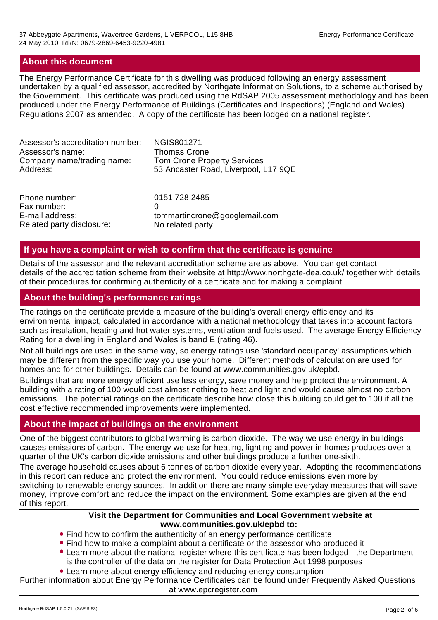## **About this document**

The Energy Performance Certificate for this dwelling was produced following an energy assessment undertaken by a qualified assessor, accredited by Northgate Information Solutions, to a scheme authorised by the Government. This certificate was produced using the RdSAP 2005 assessment methodology and has been produced under the Energy Performance of Buildings (Certificates and Inspections) (England and Wales) Regulations 2007 as amended. A copy of the certificate has been lodged on a national register.

| Assessor's accreditation number: | <b>NGIS801271</b>                    |
|----------------------------------|--------------------------------------|
| Assessor's name:                 | <b>Thomas Crone</b>                  |
| Company name/trading name:       | <b>Tom Crone Property Services</b>   |
| Address:                         | 53 Ancaster Road, Liverpool, L17 9QE |
| Phone number:                    | 0151 728 2485                        |
| Fax number:                      | O                                    |
| E-mail address:                  | tommartincrone@googlemail.com        |
| Related party disclosure:        | No related party                     |

#### **If you have a complaint or wish to confirm that the certificate is genuine**

Details of the assessor and the relevant accreditation scheme are as above. You can get contact details of the accreditation scheme from their website at http://www.northgate-dea.co.uk/ together with details of their procedures for confirming authenticity of a certificate and for making a complaint.

## **About the building's performance ratings**

The ratings on the certificate provide a measure of the building's overall energy efficiency and its environmental impact, calculated in accordance with a national methodology that takes into account factors such as insulation, heating and hot water systems, ventilation and fuels used. The average Energy Efficiency Rating for a dwelling in England and Wales is band E (rating 46).

Not all buildings are used in the same way, so energy ratings use 'standard occupancy' assumptions which may be different from the specific way you use your home. Different methods of calculation are used for homes and for other buildings. Details can be found at www.communities.gov.uk/epbd.

Buildings that are more energy efficient use less energy, save money and help protect the environment. A building with a rating of 100 would cost almost nothing to heat and light and would cause almost no carbon emissions. The potential ratings on the certificate describe how close this building could get to 100 if all the cost effective recommended improvements were implemented.

## **About the impact of buildings on the environment**

One of the biggest contributors to global warming is carbon dioxide. The way we use energy in buildings causes emissions of carbon. The energy we use for heating, lighting and power in homes produces over a quarter of the UK's carbon dioxide emissions and other buildings produce a further one-sixth.

The average household causes about 6 tonnes of carbon dioxide every year. Adopting the recommendations in this report can reduce and protect the environment. You could reduce emissions even more by switching to renewable energy sources. In addition there are many simple everyday measures that will save money, improve comfort and reduce the impact on the environment. Some examples are given at the end of this report.

#### **Visit the Department for Communities and Local Government website at www.communities.gov.uk/epbd to:**

- Find how to confirm the authenticity of an energy performance certificate
- Find how to make a complaint about a certificate or the assessor who produced it
- Learn more about the national register where this certificate has been lodged the Department is the controller of the data on the register for Data Protection Act 1998 purposes
- Learn more about energy efficiency and reducing energy consumption

Further information about Energy Performance Certificates can be found under Frequently Asked Questions at www.epcregister.com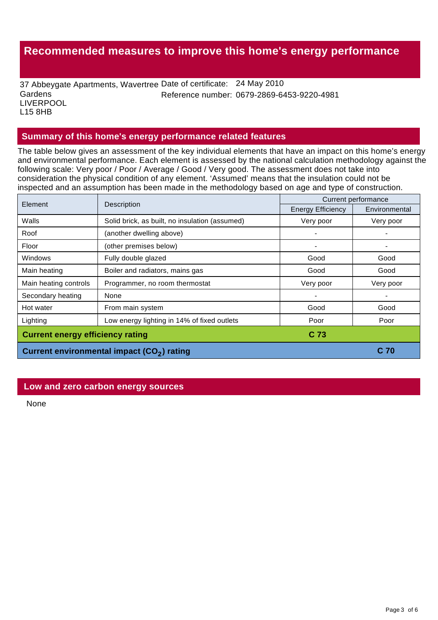## **Recommended measures to improve this home's energy performance**

37 Abbeygate Apartments, Wavertree Date of certificate: 24 May 2010 **Gardens** LIVERPOOL L15 8HB Reference number: 0679-2869-6453-9220-4981

#### **Summary of this home's energy performance related features**

The table below gives an assessment of the key individual elements that have an impact on this home's energy and environmental performance. Each element is assessed by the national calculation methodology against the following scale: Very poor / Poor / Average / Good / Very good. The assessment does not take into consideration the physical condition of any element. 'Assumed' means that the insulation could not be inspected and an assumption has been made in the methodology based on age and type of construction.

|                                                        | Current performance                            |                          |               |
|--------------------------------------------------------|------------------------------------------------|--------------------------|---------------|
| Element<br>Description                                 |                                                | <b>Energy Efficiency</b> | Environmental |
| Walls                                                  | Solid brick, as built, no insulation (assumed) | Very poor                | Very poor     |
| Roof                                                   | (another dwelling above)                       |                          |               |
| Floor                                                  | (other premises below)                         |                          |               |
| <b>Windows</b>                                         | Fully double glazed                            | Good                     | Good          |
| Main heating                                           | Boiler and radiators, mains gas                | Good                     | Good          |
| Main heating controls                                  | Programmer, no room thermostat                 | Very poor                | Very poor     |
| Secondary heating                                      | None                                           |                          |               |
| Hot water                                              | From main system                               | Good                     | Good          |
| Lighting                                               | Low energy lighting in 14% of fixed outlets    | Poor                     | Poor          |
| <b>Current energy efficiency rating</b>                |                                                | C 73                     |               |
| Current environmental impact (CO <sub>2</sub> ) rating |                                                |                          | C 70          |

#### **Low and zero carbon energy sources**

None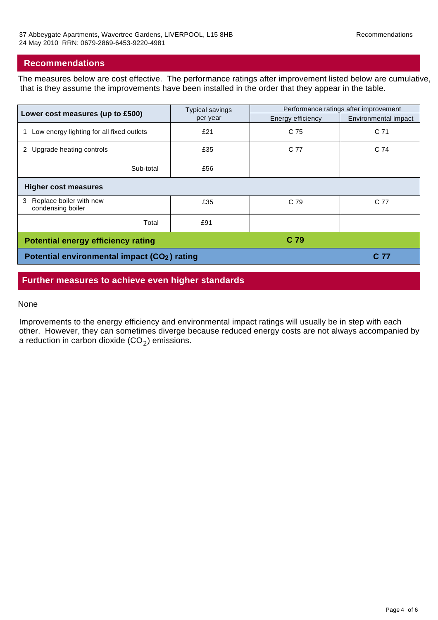## **Recommendations**

The measures below are cost effective. The performance ratings after improvement listed below are cumulative, that is they assume the improvements have been installed in the order that they appear in the table.

| Lower cost measures (up to £500)                         | Typical savings<br>per year | Performance ratings after improvement |                      |
|----------------------------------------------------------|-----------------------------|---------------------------------------|----------------------|
|                                                          |                             | Energy efficiency                     | Environmental impact |
| Low energy lighting for all fixed outlets                | £21                         | C 75                                  | C <sub>71</sub>      |
| 2 Upgrade heating controls                               | £35                         | C 77                                  | C 74                 |
| Sub-total                                                | £56                         |                                       |                      |
| <b>Higher cost measures</b>                              |                             |                                       |                      |
| Replace boiler with new<br>3<br>condensing boiler        | £35                         | C 79                                  | C 77                 |
| Total                                                    | £91                         |                                       |                      |
| C 79<br><b>Potential energy efficiency rating</b>        |                             |                                       |                      |
| Potential environmental impact (CO <sub>2</sub> ) rating |                             |                                       | C 77                 |

## **Further measures to achieve even higher standards**

#### None

Improvements to the energy efficiency and environmental impact ratings will usually be in step with each other. However, they can sometimes diverge because reduced energy costs are not always accompanied by a reduction in carbon dioxide  $(CO<sub>2</sub>)$  emissions.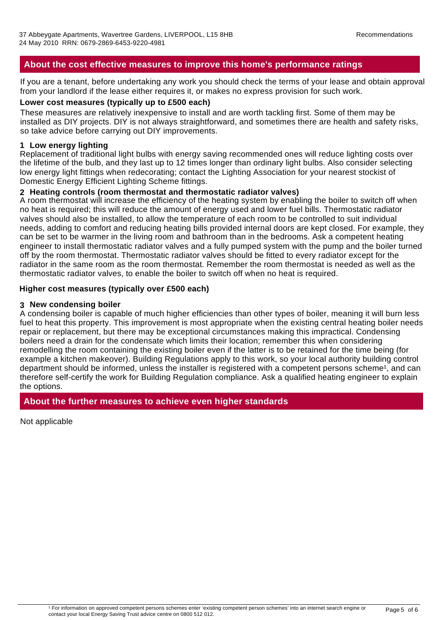## **About the cost effective measures to improve this home's performance ratings**

If you are a tenant, before undertaking any work you should check the terms of your lease and obtain approval from your landlord if the lease either requires it, or makes no express provision for such work.

#### **Lower cost measures (typically up to £500 each)**

These measures are relatively inexpensive to install and are worth tackling first. Some of them may be installed as DIY projects. DIY is not always straightforward, and sometimes there are health and safety risks, so take advice before carrying out DIY improvements.

#### **1 Low energy lighting**

Replacement of traditional light bulbs with energy saving recommended ones will reduce lighting costs over the lifetime of the bulb, and they last up to 12 times longer than ordinary light bulbs. Also consider selecting low energy light fittings when redecorating; contact the Lighting Association for your nearest stockist of Domestic Energy Efficient Lighting Scheme fittings.

#### **2 Heating controls (room thermostat and thermostatic radiator valves)**

A room thermostat will increase the efficiency of the heating system by enabling the boiler to switch off when no heat is required; this will reduce the amount of energy used and lower fuel bills. Thermostatic radiator valves should also be installed, to allow the temperature of each room to be controlled to suit individual needs, adding to comfort and reducing heating bills provided internal doors are kept closed. For example, they can be set to be warmer in the living room and bathroom than in the bedrooms. Ask a competent heating engineer to install thermostatic radiator valves and a fully pumped system with the pump and the boiler turned off by the room thermostat. Thermostatic radiator valves should be fitted to every radiator except for the radiator in the same room as the room thermostat. Remember the room thermostat is needed as well as the thermostatic radiator valves, to enable the boiler to switch off when no heat is required.

#### **Higher cost measures (typically over £500 each)**

#### **3 New condensing boiler**

A condensing boiler is capable of much higher efficiencies than other types of boiler, meaning it will burn less fuel to heat this property. This improvement is most appropriate when the existing central heating boiler needs repair or replacement, but there may be exceptional circumstances making this impractical. Condensing boilers need a drain for the condensate which limits their location; remember this when considering remodelling the room containing the existing boiler even if the latter is to be retained for the time being (for example a kitchen makeover). Building Regulations apply to this work, so your local authority building control department should be informed, unless the installer is registered with a competent persons scheme<sup>1</sup>, and can therefore self-certify the work for Building Regulation compliance. Ask a qualified heating engineer to explain the options.

## **About the further measures to achieve even higher standards**

Not applicable